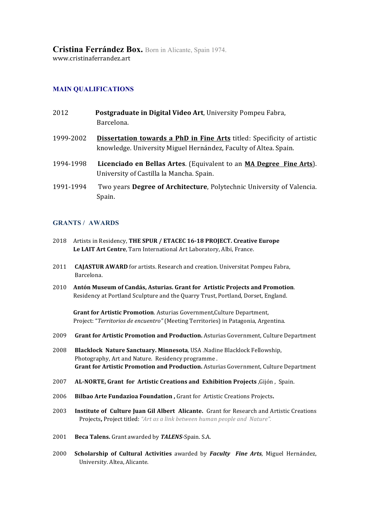**Cristina Ferrández Box.** Born in Alicante, Spain 1974.

www.cristinaferrandez.art

# **MAIN QUALIFICATIONS**

- **2012 Postgraduate in Digital Video Art**, University Pompeu Fabra, Barcelona.
- **1999-2002 Dissertation towards a PhD in Fine Arts** titled: Specificity of artistic knowledge. University Miguel Hernández, Faculty of Altea. Spain.
- 1994-1998 Licenciado en Bellas Artes. (Equivalent to an **MA Degree Fine Arts**). University of Castilla la Mancha. Spain.
- 1991-1994 Two years Degree of Architecture, Polytechnic University of Valencia. Spain.

## **GRANTS / AWARDS**

- 2018 Artists in Residency, THE SPUR / ETACEC 16-18 PROJECT. Creative Europe Le LAIT Art Centre, Tarn International Art Laboratory, Albi, France.
- 2011 **CAJASTUR AWARD** for artists. Research and creation. Universitat Pompeu Fabra, Barcelona.
- 2010 **Antón Museum of Candás, Asturias. Grant for Artistic Projects and Promotion**. Residency at Portland Sculpture and the Quarry Trust, Portland, Dorset, England.

**Grant for Artistic Promotion.** Asturias Government, Culture Department, Project: "Territorios de encuentro" (Meeting Territories) in Patagonia, Argentina.

- 2009 **Grant for Artistic Promotion and Production.** Asturias Government, Culture Department
- 2008 Blacklock Nature Sanctuary. Minnesota, USA .Nadine Blacklock Fellowship, Photography, Art and Nature. Residency programme. **Grant for Artistic Promotion and Production.** Asturias Government, Culture Department
- 2007 **AL-NORTE, Grant for Artistic Creations and Exhibition Projects**, Gijón, Spain.
- 2006 Bilbao Arte Fundazioa Foundation, Grant for Artistic Creations Projects.
- 2003 **Institute of Culture Juan Gil Albert Alicante.** Grant for Research and Artistic Creations Projects, Project titled: "Art as a link between human people and Nature".
- 2001 Beca Talens. Grant awarded by TALENS-Spain. S.A.
- 2000 **Scholarship of Cultural Activities** awarded by *Faculty Fine Arts*, Miguel Hernández, University. Altea, Alicante.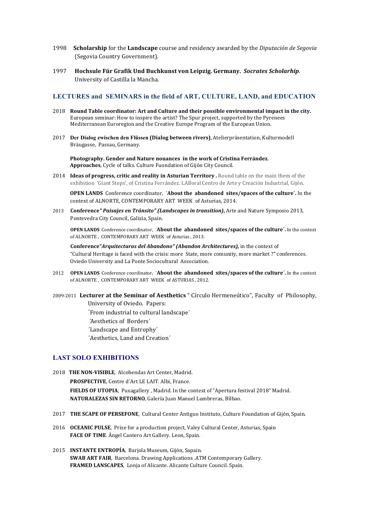- 1998 **Scholarship** for the **Landscape** course and residency awarded by the *Diputación de Segovia* (Segovia Country Government).
- 1997 **Hochsule Für Grafik Und Buchkunst von Leipzig. Germany. Socrates Scholarhip.** University of Castilla la Mancha.

#### **LECTURES and SEMINARS in the field of ART, CULTURE, LAND, and EDUCATION**

- 2018 Round Table coordinator: Art and Culture and their possible environmental impact in the city. European seminar: How to inspire the artist? The Spur project, supported by the Pyrenees Mediterranean Euroregion and the Creative Europe Program of the European Union.
- 2017 **Der Dialog zwischen den Flüssen (Dialog between rivers)**, Atelierpräsentation, Kulturmodell Bräugasse, Passau, Germany.

Photography. Gender and Nature nouances in the work of Cristina Ferrández. Approaches, Cycle of talks. Culture Fuondation of Gijón City Council.

2014 **Ideas of progress, critic and reality in Asturian Territory**. Round table on the main them of the exhibition 'Giant Steps', of Cristina Ferrández. LABoral Centro de Arte y Creación Industrial, Gijón.

**OPEN LANDS** Conference coordinator, *'About the abandoned sites/spaces of the culture'*. In the context of ALNORTE, CONTEMPORARY ART WEEK of Asturias, 2014.

2013 **Conference**" Paisajes en Tránsito" (Landscapes in transition), Arte and Nature Symposio 2013, Pontevedra City Council, Galizia, Spain.

**OPEN LANDS** Conference coordinator, *`About the abandoned sites/spaces of the culture'***. In the context** of ALNORTE, CONTEMPORARY ART WEEK of Asturias, 2013.

**Conference**"*Arquitecturas del Abandono"* (Abandon Architectures), in the context of "Cultural Heritage is faced with the crisis: more State, more comunity, more market?" conferences. Oviedo University and La Ponte Sociocultural Association.

- 2012 **OPEN LANDS** Conference coordinator, *´About the abandoned sites/spaces of the culture'***. In the context** of ALNORTE, CONTEMPORARY ART WEEK of ASTURIAS, 2012.
- 2009-2011 Lecturer at the Seminar of Aesthetics " Círculo Hermeneútico", Faculty of Philosophy, University of Oviedo. Papers:

'From industrial to cultural landscape'

- *´*Aesthetics of Borders´
- 'Landscape and Entrophy'
- 'Aesthetics, Land and Creation'

#### **LAST SOLO EXHIBITIONS**

- 2018 THE NON-VISIBLE, Alcobendas Art Center, Madrid. PROSPECTIVE, Centre d'Art LE LAIT. Albi, France. FIELDS OF UTOPIA, Puxagallery, Madrid. In the context of "Apertura festival 2018" Madrid. **NATURALEZAS SIN RETORNO**, Galería Juan Manuel Lumbreras, Bilbao.
- 2017 **THE SCAPE OF PERSEFONE**, Cultural Center Antiguo Instituto, Culture Foundation of Gijón, Spain.
- 2016 **OCEANIC PULSE**, Prize for a production project, Valey Cultural Center, Asturias, Spain FACE OF TIME. Ängel Cantero Art Gallery. Leon, Spain.
- 2015 **INSTANTE ENTROPÍA**, Barjola Museum, Gijón, Sapain. **SWAB ART FAIR, Barcelona. Drawing Applications .ATM Contemporary Gallery.** FRAMED LANSCAPES, Lonja of Alicante. Alicante Culture Council. Spain.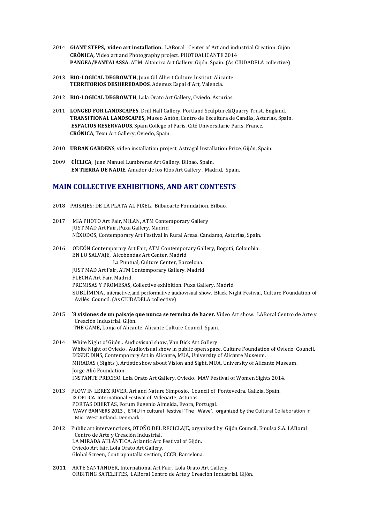- 2014 **GIANT STEPS, video art installation.** LABoral Center of Art and industrial Creation. Gijón **CRÓNICA,** Video art and Photography project. PHOTOALICANTE 2014 **PANGEA/PANTALASSA.** ATM Altamira Art Gallery, Gijón, Spain. (As CIUDADELA collective)
- 2013 **BIO-LOGICAL DEGROWTH, Juan Gil Albert Culture Institut. Alicante** TERRITORIOS DESHEREDADOS, Ademuz Espai d'Art, Valencia.
- 2012 BIO-LOGICAL DEGROWTH, Lola Orato Art Gallery, Oviedo. Asturias.
- 2011 LONGED FOR LANDSCAPES, Drill Hall Gallery, Portland Sculpture&Quarry Trust. England. TRANSITIONAL LANDSCAPES, Museo Antón, Centro de Escultura de Candás, Asturias, Spain. **ESPACIOS RESERVADOS**, Spain College of París. Cité Universitarie Paris. France. **CRÓNICA**, Texu Art Gallery, Oviedo, Spain.
- 2010 **URBAN GARDENS**, video installation project, Astragal Installation Prize, Gijón, Spain.
- 2009 CÍCLICA, Juan Manuel Lumbreras Art Gallery. Bilbao. Spain. **EN TIERRA DE NADIE**, Amador de los Ríos Art Gallery , Madrid, Spain.

### **MAIN COLLECTIVE EXHIBITIONS, AND ART CONTESTS**

- 2018 PAISAJES: DE LA PLATA AL PIXEL. Bilbaoarte Foundation. Bilbao.
- 2017 MIA PHOTO Art Fair, MILAN, ATM Contemporary Gallery JUST MAD Art Fair, Puxa Gallery. Madrid NÉXODOS, Contemporary Art Festival in Rural Areas. Candamo, Asturias, Spain.
- 2016 ODEÓN Contemporary Art Fair, ATM Contemporary Gallery, Bogotá, Colombia. EN LO SALVAJE, Alcobendas Art Center, Madrid

La Puntual, Culture Center, Barcelona. **IUST MAD Art Fair, ATM Contemporary Gallery. Madrid** FLECHA Art Fair, Madrid. PREMISAS Y PROMESAS, Collective exhibition. Puxa Gallery. Madrid SUBLÍMINA, interactive,and performative audiovisual show. Black Night Festival, Culture Foundation of Avilés Council. (As CIUDADELA collective)

- 2015 *B* visiones de un paisaje que nunca se termina de hacer. Video Art show. LABoral Centro de Arte y Creación Industrial. Gijón. THE GAME, Lonja of Alicante. Alicante Culture Council. Spain.
- 2014 White Night of Gijón . Audiovisual show, Van Dick Art Gallery White Night of Oviedo . Audiovisual show in public open space, Culture Foundation of Oviedo Council. DESDE DINS, Contemporary Art in Alicante, MUA, University of Alicante Museum. **MIRADAS** ( Sights ), Artístic show about Vision and Sight. MUA, University of Alicante Museum. Jorge Alió Foundation. INSTANTE PRECISO. Lola Orato Art Gallery, Oviedo. MAV Festival of Women Sights 2014.
- 2013 FLOW IN LEREZ RIVER, Art and Nature Simposio. Council of Pontevedra. Galizia, Spain. IX ÓPTICA International Festival of Videoarte, Asturias. PORTAS OBERTAS, Forum Eugenio Almeida, Evora, Portugal. WAVY BANNERS 2013, ET4U in cultural festival 'The Wave', organized by the Cultural Collaboration in Mid West Jutland. Denmark.
- 2012 Public art intervenctions, OTOÑO DEL RECICLAJE, organized by Gijón Council, Emulsa S.A. LABoral Centro de Arte y Creación Industrial. LA MIRADA ATLÁNTICA, Atlantic Arc Festival of Gijón. Oviedo Art fair. Lola Orato Art Gallery. Global Screen, Contrapantalla section, CCCB, Barcelona.
- **2011** ARTE SANTANDER, International Art Fair, Lola Orato Art Gallery. ORBITING SATELIITES, LABoral Centro de Arte y Creación Industrial. Gijón.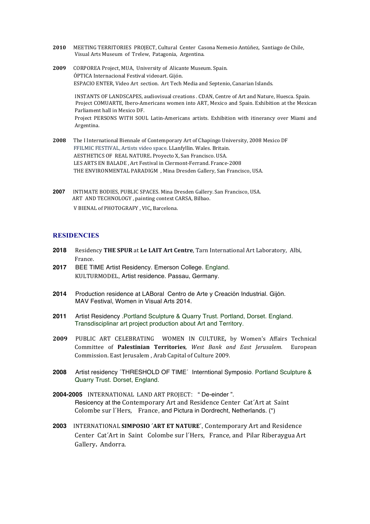- **2010** MEETING TERRITORIES PROJECT, Cultural Center Casona Nemesio Antúñez, Santiago de Chile, Visual Arts Museum of Trelew, Patagonia, Argentina.
- **2009** CORPOREA Project, MUA, University of Alicante Museum, Spain. ÓPTICA Internacional Festival videoart. Gijón. ESPACIO ENTER, Video Art section. Art Tech Media and Septenio, Canarian Islands.

INSTANTS OF LANDSCAPES, audiovisual creations . CDAN, Centre of Art and Nature, Huesca. Spain. Project COMUARTE, Ibero-Americans women into ART, Mexico and Spain. Exhibition at the Mexican Parliament hall in Mexico DF. Project PERSONS WITH SOUL Latin-Americans artists. Exhibition with itinerancy over Miami and Argentina.

- **2008** The I International Biennale of Contemporary Art of Chapingo University, 2008 Mexico DF FFILMIC FESTIVAL, Artists video space. LLanfyllin. Wales. Britain. AESTHETICS OF REAL NATURE. Provecto X, San Francisco. USA. LES ARTS EN BALADE, Art Festival in Clermont-Ferrand. France-2008 THE ENVIRONMENTAL PARADIGM , Mina Dresden Gallery, San Francisco, USA.
- **2007** INTIMATE BODIES, PUBLIC SPACES. Mina Dresden Gallery. San Francisco, USA. ART AND TECHNOLOGY, painting context CARSA, Bilbao. V BIENAL of PHOTOGRAFY , VIC, Barcelona.

### **RESIDENCIES**

- **2018** Residency THE SPUR at Le LAIT Art Centre, Tarn International Art Laboratory, Albi, France.
- **2017** BEE TIME Artist Residency. Emerson College. England. KULTURMODEL, Artist residence. Passau, Germany.
- **2014** Production residence at LABoral Centro de Arte y Creación Industrial. Gijón. MAV Festival, Women in Visual Arts 2014.
- **2011** Artist Residency .Portland Sculpture & Quarry Trust. Portland, Dorset. England. Transdisciplinar art project production about Art and Territory.
- **2009**  PUBLIC ART CELEBRATING WOMEN IN CULTURE*,* by Women's Affairs Technical Committee of **Palestinian Territories***, West Bank and East Jerusalem.* European Commission. East Jerusalem, Arab Capital of Culture 2009.
- **2008** Artist residency ´THRESHOLD OF TIME´ Interntional Symposio. Portland Sculpture & Quarry Trust. Dorset, England.
- 2004-2005 INTERNATIONAL LAND ART PROJECT: "De-einder". Resicency at the Contemporary Art and Residence Center Cat'Art at Saint Colombe sur l'Hers, France, and Pictura in Dordrecht, Netherlands. (\*)
- **2003** INTERNATIONAL SIMPOSIO 'ART ET NATURE', Contemporary Art and Residence Center Cat'Art in Saint Colombe sur l'Hers, France, and Pilar Riberaygua Art Gallery. Andorra.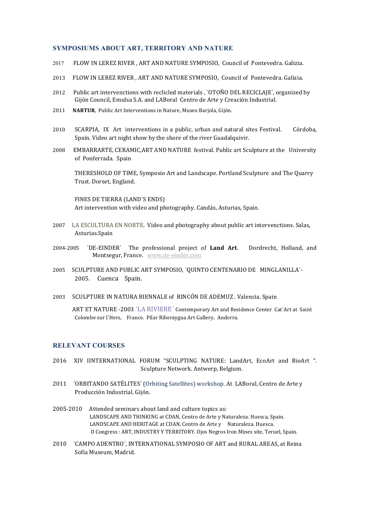#### **SYMPOSIUMS ABOUT ART, TERRITORY AND NATURE**

- 2017 FLOW IN LEREZ RIVER, ART AND NATURE SYMPOSIO, Council of Pontevedra. Galizia.
- 2013 FLOW IN LEREZ RIVER, ART AND NATURE SYMPOSIO, Council of Pontevedra. Galizia.
- 2012 Public art intervenctions with reclicled materials , 'OTOÑO DEL RECICLAJE', organized by Gijón Council, Emulsa S.A. and LABoral Centro de Arte y Creación Industrial.
- 2011 NARTUR, Public Art Interventions in Nature, Museo Barjola, Gijón.
- 2010 SCARPIA, IX Art interventions in a public, urban and natural sites Festival. Córdoba, Spain. Video art night show by the shore of the river Guadalquivir.
- 2008 EMBARRARTE, CERAMIC, ART AND NATURE festival. Public art Sculpture at the University of Ponferrada. Spain

THERESHOLD OF TIME, Symposio Art and Landscape. Portland Sculpture and The Quarry Trust. Dorset. England.

FINES DE TIERRA (LAND´S ENDS) Art intervention with video and photography. Candás, Asturias, Spain.

- 2007 LA ESCULTURA EN NORTE. Video and photography about public art intervenctions. Salas, Asturias.Spain
- 2004-2005 *TDE-EINDER* The professional project of **Land Art.** Dordrecht, Holland, and Montsegur, France. www.de-einder.com
- 2005 SCULPTURE AND PUBLIC ART SYMPOSIO, 'QUINTO CENTENARIO DE MINGLANILLA'-2005. Cuenca Spain.
- 2003 SCULPTURE IN NATURA BIENNALE of RINCÓN DE ADEMUZ . Valencia. Spain

ART ET NATURE -2003 'LA RIVIERE' Contemporary Art and Residence Center Cat'Art at Saint Colombe sur l'Hers, France. Pilar Riberaygua Art Gallery. Andorra.

## **RELEVANT COURSES**

- 2016 XIV IINTERNATIONAL FORUM "SCULPTING NATURE: LandArt, EcoArt and BioArt ". Sculpture Network. Antwerp, Belgium.
- 2011 *'*ORBITANDO SATÉLITES' (Orbiting Satellites) workshop. At LABoral, Centro de Arte y Producción Industrial. Gijón.
- 2005-2010 Attended seminars about land and culture topics as: LANDSCAPE AND THINKING at CDAN, Centro de Arte y Naturaleza. Huesca, Spain. LANDSCAPE AND HERITAGE at CDAN, Centro de Arte y Naturaleza. Huesca. II Congress : ART, INDUSTRY Y TERRITORY. Ojos Negros Iron Mines site, Teruel, Spain.
- 2010 *CAMPO ADENTRO*<sup>'</sup>, INTERNATIONAL SYMPOSIO OF ART and RURAL AREAS, at Reina Sofía Museum, Madrid.